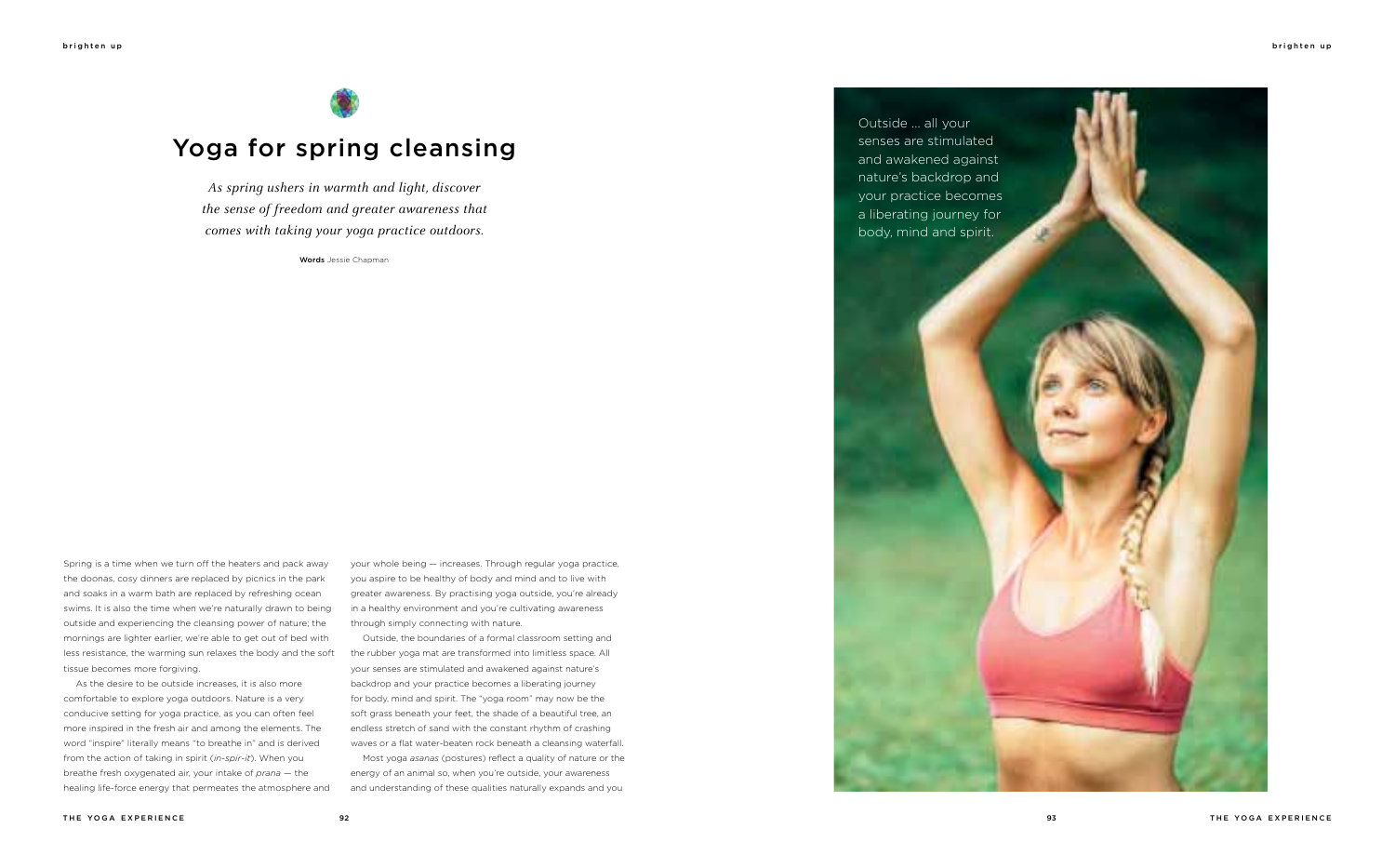Spring is a time when we turn off the heaters and pack away the doonas, cosy dinners are replaced by picnics in the park and soaks in a warm bath are replaced by refreshing ocean swims. It is also the time when we're naturally drawn to being outside and experiencing the cleansing power of nature; the mornings are lighter earlier, we're able to get out of bed with less resistance, the warming sun relaxes the body and the soft tissue becomes more forgiving.

As the desire to be outside increases, it is also more comfortable to explore yoga outdoors. Nature is a very conducive setting for yoga practice, as you can often feel more inspired in the fresh air and among the elements. The word "inspire" literally means "to breathe in" and is derived from the action of taking in spirit (*in-spir-it*). When you breathe fresh oxygenated air, your intake of *prana* — the healing life-force energy that permeates the atmosphere and your whole being — increases. Through regular yoga practice, you aspire to be healthy of body and mind and to live with greater awareness. By practising yoga outside, you're already in a healthy environment and you're cultivating awareness through simply connecting with nature.

Outside, the boundaries of a formal classroom setting and the rubber yoga mat are transformed into limitless space. All your senses are stimulated and awakened against nature's backdrop and your practice becomes a liberating journey for body, mind and spirit. The "yoga room" may now be the soft grass beneath your feet, the shade of a beautiful tree, an endless stretch of sand with the constant rhythm of crashing waves or a flat water-beaten rock beneath a cleansing waterfall.

Most yoga *asanas* (postures) reflect a quality of nature or the energy of an animal so, when you're outside, your awareness and understanding of these qualities naturally expands and you

*As spring ushers in warmth and light, discover the sense of freedom and greater awareness that comes with taking your yoga practice outdoors.*

Words Jessie Chapman



# Yoga for spring cleansing

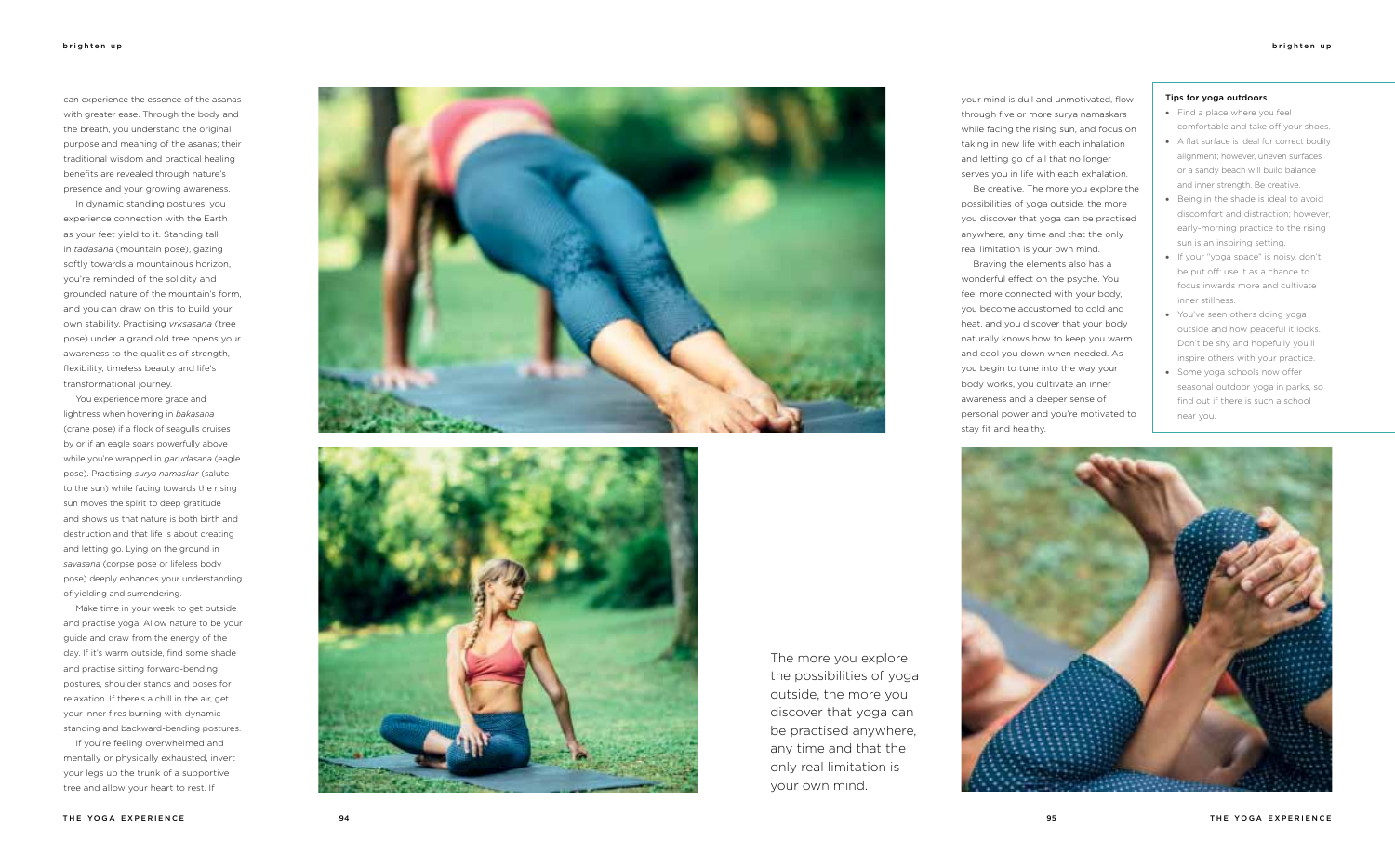can experience the essence of the asanas with greater ease. Through the body and the breath, you understand the original purpose and meaning of the asanas; their traditional wisdom and practical healing benefits are revealed through nature's presence and your growing awareness.

In dynamic standing postures, you experience connection with the Earth as your feet yield to it. Standing tall in *tadasana* (mountain pose), gazing softly towards a mountainous horizon, you're reminded of the solidity and grounded nature of the mountain's form, and you can draw on this to build your own stability. Practising *vrksasana* (tree pose) under a grand old tree opens your awareness to the qualities of strength, flexibility, timeless beauty and life's transformational journey.

You experience more grace and lightness when hovering in *bakasana* (crane pose) if a flock of seagulls cruises by or if an eagle soars powerfully above while you're wrapped in *garudasana* (eagle pose). Practising *surya namaskar* (salute to the sun) while facing towards the rising sun moves the spirit to deep gratitude and shows us that nature is both birth and destruction and that life is about creating and letting go. Lying on the ground in *savasana* (corpse pose or lifeless body pose) deeply enhances your understanding of yielding and surrendering.

- Find a place where you feel comfortable and take off your shoes.
- • A flat surface is ideal for correct bodily alignment; however, uneven surfaces or a sandy beach will build balance and inner strength. Be creative.
- • Being in the shade is ideal to avoid discomfort and distraction; however, early-morning practice to the rising sun is an inspiring setting.
- • If your "yoga space" is noisy, don't be put off: use it as a chance to focus inwards more and cultivate inner stillness.
- You've seen others doing yoga outside and how peaceful it looks. Don't be shy and hopefully you'll inspire others with your practice.
- Some yoga schools now offer seasonal outdoor yoga in parks, so find out if there is such a school near you.



Make time in your week to get outside and practise yoga. Allow nature to be your guide and draw from the energy of the day. If it's warm outside, find some shade and practise sitting forward-bending postures, shoulder stands and poses for relaxation. If there's a chill in the air, get your inner fires burning with dynamic standing and backward-bending postures.

If you're feeling overwhelmed and mentally or physically exhausted, invert your legs up the trunk of a supportive tree and allow your heart to rest. If





### Tips for yoga outdoors

your mind is dull and unmotivated, flow through five or more surya namaskars while facing the rising sun, and focus on taking in new life with each inhalation and letting go of all that no longer serves you in life with each exhalation.

Be creative. The more you explore the possibilities of yoga outside, the more you discover that yoga can be practised anywhere, any time and that the only real limitation is your own mind.

Braving the elements also has a wonderful effect on the psyche. You feel more connected with your body, you become accustomed to cold and heat, and you discover that your body naturally knows how to keep you warm and cool you down when needed. As you begin to tune into the way your body works, you cultivate an inner awareness and a deeper sense of personal power and you're motivated to stay fit and healthy.

The more you explore the possibilities of yoga outside, the more you discover that yoga can be practised anywhere, any time and that the only real limitation is your own mind.